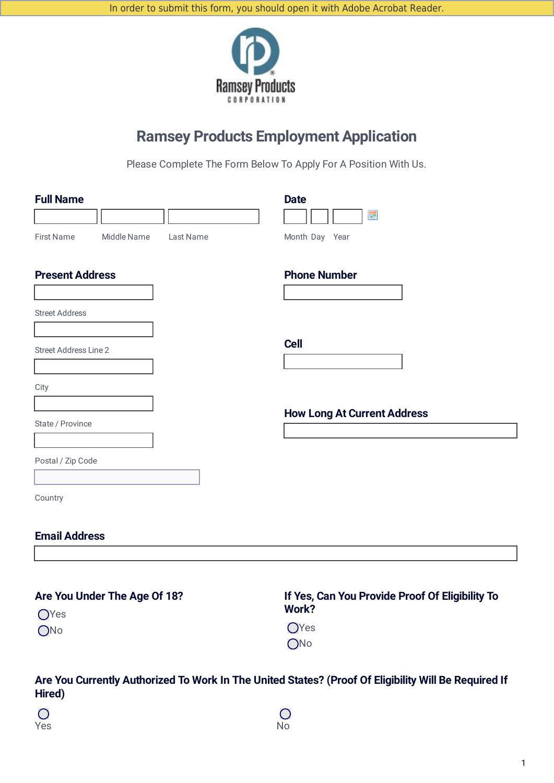

# **Ramsey Products Employment Application**

Please Complete The Form Below To Apply For A Position With Us.

| <b>Full Name</b><br><b>First Name</b><br>Middle Name | Last Name            | <b>Date</b><br><b>III</b><br>Month Day Year |
|------------------------------------------------------|----------------------|---------------------------------------------|
| <b>Present Address</b>                               |                      | <b>Phone Number</b>                         |
| <b>Street Address</b>                                |                      |                                             |
| Street Address Line 2                                |                      | <b>Cell</b>                                 |
| City                                                 |                      |                                             |
| State / Province                                     |                      | <b>How Long At Current Address</b>          |
| Postal / Zip Code                                    | $\blacktriangledown$ |                                             |
| Country                                              |                      |                                             |
| <b>Email Address</b>                                 |                      |                                             |

| Are You Under The Age Of 18? | If Yes, Can You Provide Proof Of Eligibility To |  |  |
|------------------------------|-------------------------------------------------|--|--|
| OYes                         | Work?                                           |  |  |
| ONo                          | <b>O</b> Yes<br>ON <sub>0</sub>                 |  |  |

## **Are You Currently Authorized To Work In The United States? (Proof Of Eligibility Will Be Required If Hired)**

| $\bigcirc$ | $\bigcirc$ |
|------------|------------|
| Yes        | No         |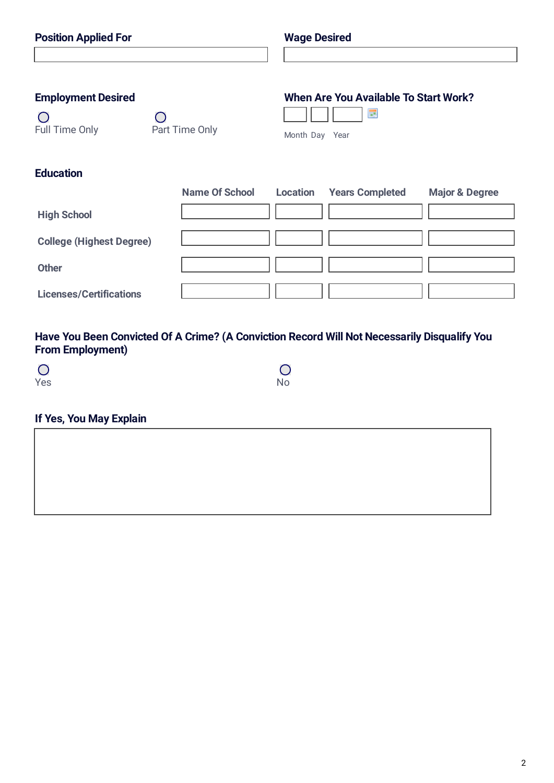| <b>Position Applied For</b>     |                       |                                              | <b>Wage Desired</b>    |                           |
|---------------------------------|-----------------------|----------------------------------------------|------------------------|---------------------------|
|                                 |                       |                                              |                        |                           |
| <b>Employment Desired</b>       |                       | <b>When Are You Available To Start Work?</b> |                        |                           |
| ∩                               | $\cap$                |                                              | <b>III</b>             |                           |
| Full Time Only                  | Part Time Only        | Month Day Year                               |                        |                           |
|                                 |                       |                                              |                        |                           |
| <b>Education</b>                |                       |                                              |                        |                           |
|                                 | <b>Name Of School</b> | <b>Location</b>                              | <b>Years Completed</b> | <b>Major &amp; Degree</b> |
| <b>High School</b>              |                       |                                              |                        |                           |
| <b>College (Highest Degree)</b> |                       |                                              |                        |                           |
| <b>Other</b>                    |                       |                                              |                        |                           |
| <b>Licenses/Certifications</b>  |                       |                                              |                        |                           |

## **Have You Been Convicted Of A Crime? (A Conviction Record Will Not Necessarily Disqualify You From Employment)**

 $\overline{O}$ 

| $\overline{O}$ | $\bigcirc$ |
|----------------|------------|
| Yes            | No         |

## **If Yes, You May Explain**

2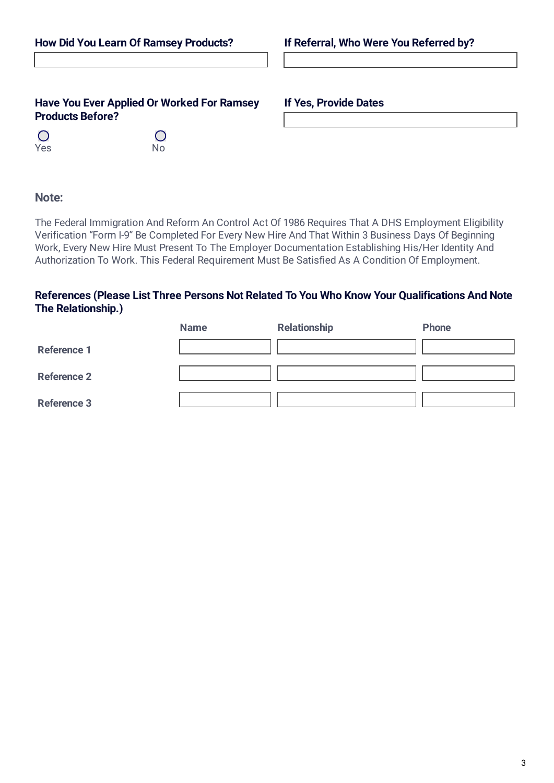### **Have You Ever Applied Or Worked For Ramsey If Yes, Provide Dates Products Before?**

 $\bigcirc$ 

 $\bigcirc$ Yes No

### **Note:**

The Federal Immigration And Reform An Control Act Of 1986 Requires That A DHS Employment Eligibility Verification "Form I-9" Be Completed For Every New Hire And That Within 3 Business Days Of Beginning Work, Every New Hire Must Present To The Employer Documentation Establishing His/Her Identity And Authorization To Work. This Federal Requirement Must Be Satisfied As A Condition Of Employment.

### **References (Please List Three Persons Not Related To You Who Know Your Qualifications And Note The Relationship.)**

|                    | <b>Name</b> | <b>Relationship</b> | Phone |
|--------------------|-------------|---------------------|-------|
| <b>Reference 1</b> |             |                     |       |
| <b>Reference 2</b> |             |                     |       |
| <b>Reference 3</b> |             |                     |       |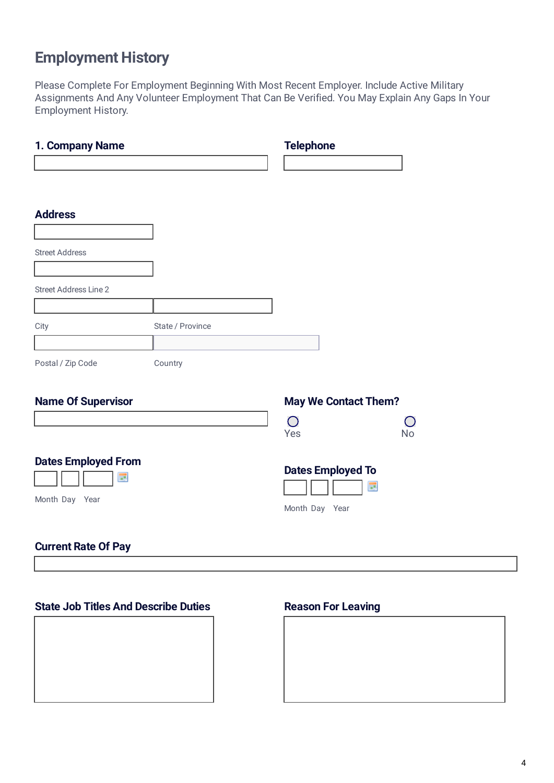# **Employment History**

Please Complete For Employment Beginning With Most Recent Employer. Include Active Military Assignments And Any Volunteer Employment That Can Be Verified. You May Explain Any Gaps In Your Employment History.

| 1. Company Name                                   |                  | <b>Telephone</b>                                |                                 |  |
|---------------------------------------------------|------------------|-------------------------------------------------|---------------------------------|--|
|                                                   |                  |                                                 |                                 |  |
| <b>Address</b>                                    |                  |                                                 |                                 |  |
| <b>Street Address</b>                             |                  |                                                 |                                 |  |
| <b>Street Address Line 2</b>                      |                  |                                                 |                                 |  |
| City                                              | State / Province | $\left  \mathbf{v} \right $                     |                                 |  |
| Postal / Zip Code                                 | Country          |                                                 |                                 |  |
| <b>Name Of Supervisor</b>                         |                  | <b>May We Contact Them?</b>                     |                                 |  |
|                                                   |                  | $\bigcirc$<br>Yes                               | $\left( \ \right)$<br><b>No</b> |  |
| <b>Dates Employed From</b><br>급<br>Month Day Year |                  | <b>Dates Employed To</b><br>Ħ<br>Month Day Year |                                 |  |
| <b>Current Rate Of Pay</b>                        |                  |                                                 |                                 |  |

### **State Job Titles And Describe Duties Reason For Leaving**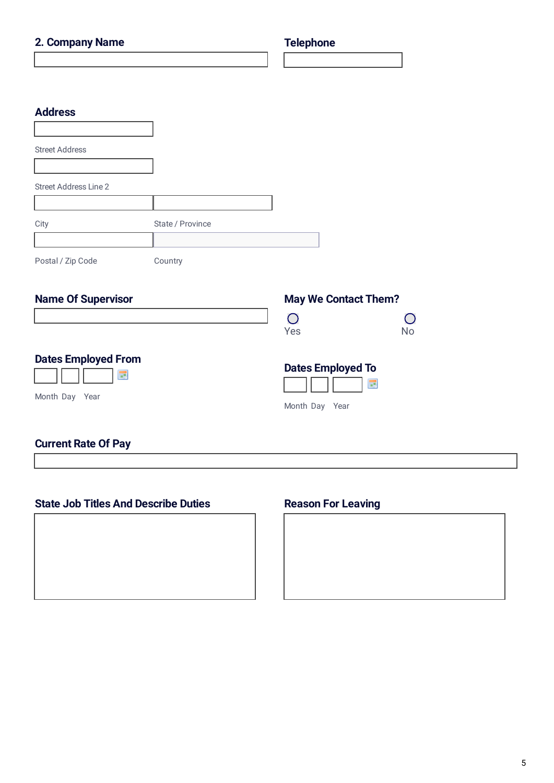| 2. Company Name                  |                  | <b>Telephone</b>            |                |  |
|----------------------------------|------------------|-----------------------------|----------------|--|
|                                  |                  |                             |                |  |
|                                  |                  |                             |                |  |
| <b>Address</b>                   |                  |                             |                |  |
| <b>Street Address</b>            |                  |                             |                |  |
| <b>Street Address Line 2</b>     |                  |                             |                |  |
| City                             | State / Province |                             |                |  |
| Postal / Zip Code                | Country          | $\blacktriangleright$       |                |  |
|                                  |                  |                             |                |  |
| <b>Name Of Supervisor</b>        |                  | <b>May We Contact Them?</b> |                |  |
|                                  |                  | $\bigcirc$<br>Yes           | O<br><b>No</b> |  |
| <b>Dates Employed From</b><br>m. |                  | <b>Dates Employed To</b>    | $\blacksquare$ |  |
| Month Day Year                   |                  | Month Day Year              |                |  |
| <b>Current Rate Of Pay</b>       |                  |                             |                |  |

## **State Job Titles And Describe Duties Reason For Leaving**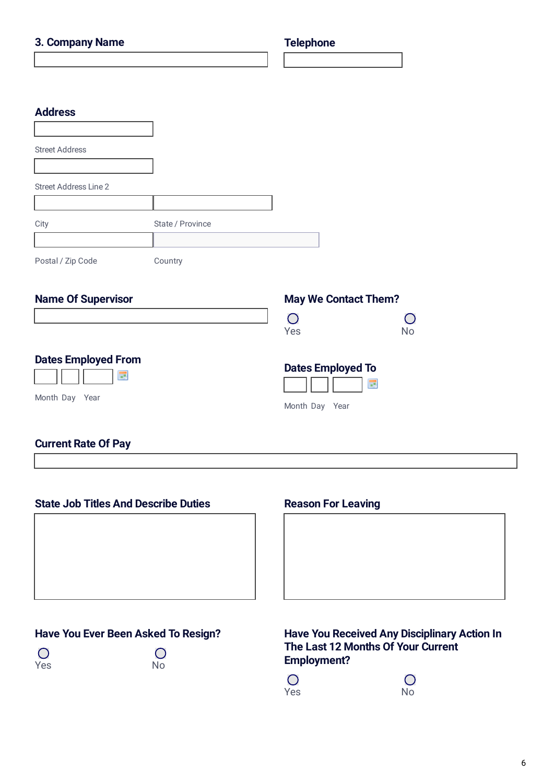| 3. Company Name                  |                  |                             | <b>Telephone</b>        |  |
|----------------------------------|------------------|-----------------------------|-------------------------|--|
|                                  |                  |                             |                         |  |
|                                  |                  |                             |                         |  |
| <b>Address</b>                   |                  |                             |                         |  |
| <b>Street Address</b>            |                  |                             |                         |  |
| <b>Street Address Line 2</b>     |                  |                             |                         |  |
| City                             | State / Province |                             |                         |  |
| Postal / Zip Code                | Country          | $\blacktriangleright$       |                         |  |
| <b>Name Of Supervisor</b>        |                  | <b>May We Contact Them?</b> |                         |  |
|                                  |                  | $\bigcirc$<br>Yes           | $\bigcirc$<br><b>No</b> |  |
| <b>Dates Employed From</b><br>H. |                  | <b>Dates Employed To</b>    | Ħ                       |  |
| Month Day Year                   |                  | Month Day Year              |                         |  |
| <b>Current Rate Of Pay</b>       |                  |                             |                         |  |

## **State Job Titles And Describe Duties Reason For Leaving**

**Have You Ever Been Asked To Resign?**

 $\overline{O}$ 

 $\overline{O}$ Yes No

## **Have You Received Any Disciplinary Action In The Last 12 Months Of Your Current Employment?**

 $\overline{O}$ Yes No

 $\bigcirc$